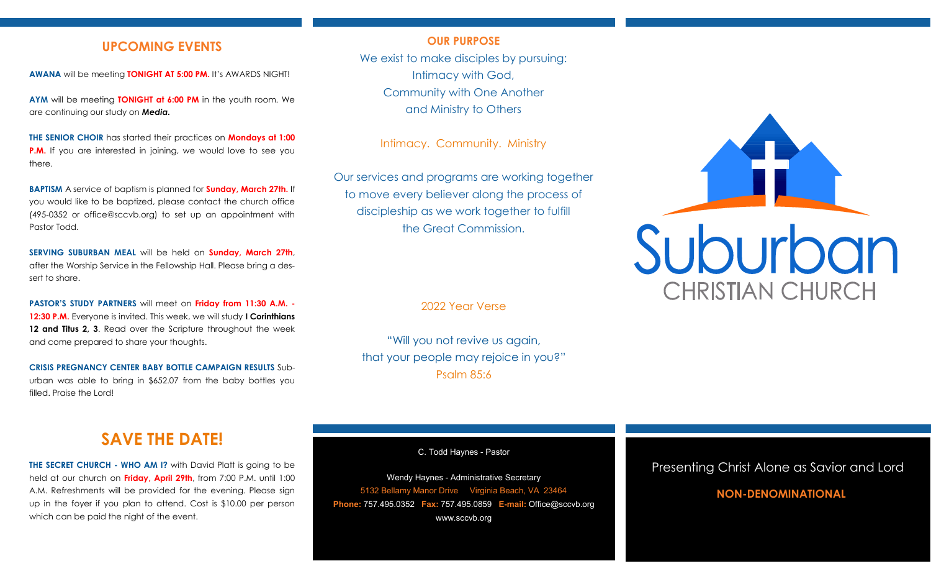## **UPCOMING EVENTS**

**AWANA** will be meeting **TONIGHT AT 5:00 PM.** It's AWARDS NIGHT!

**AYM** will be meeting **TONIGHT at 6:00 PM** in the youth room. We are continuing our study on *Media.*

**THE SENIOR CHOIR** has started their practices on **Mondays at 1:00 P.M.** If you are interested in joining, we would love to see you there.

**BAPTISM** A service of baptism is planned for **Sunday, March 27th.** If you would like to be baptized, please contact the church office (495-0352 or office@sccvb.org) to set up an appointment with Pastor Todd.

**SERVING SUBURBAN MEAL** will be held on **Sunday, March 27th**, after the Worship Service in the Fellowship Hall. Please bring a dessert to share.

**PASTOR'S STUDY PARTNERS** will meet on **Friday from 11:30 A.M. - 12:30 P.M.** Everyone is invited. This week, we will study **I Corinthians 12 and Titus 2, 3**. Read over the Scripture throughout the week and come prepared to share your thoughts.

**CRISIS PREGNANCY CENTER BABY BOTTLE CAMPAIGN RESULTS** Suburban was able to bring in \$652.07 from the baby bottles you filled. Praise the Lord!

#### **OUR PURPOSE**

We exist to make disciples by pursuing: Intimacy with God, Community with One Another and Ministry to Others

Intimacy. Community. Ministry

Our services and programs are working together to move every believer along the process of discipleship as we work together to fulfill the Great Commission.

2022 Year Verse

"Will you not revive us again, that your people may rejoice in you?" Psalm 85:6



## **SAVE THE DATE!**

**THE SECRET CHURCH - WHO AM I?** with David Platt is going to be held at our church on **Friday, April 29th**, from 7:00 P.M. until 1:00 A.M. Refreshments will be provided for the evening. Please sign up in the foyer if you plan to attend. Cost is \$10.00 per person which can be paid the night of the event.

C. Todd Haynes - Pastor

Wendy Haynes - Administrative Secretary 5132 Bellamy Manor Drive Virginia Beach, VA 23464 **Phone:** 757.495.0352 **Fax:** 757.495.0859 **E-mail:** Office@sccvb.org www.sccvb.org

## Presenting Christ Alone as Savior and Lord

## **NON-DENOMINATIONAL**